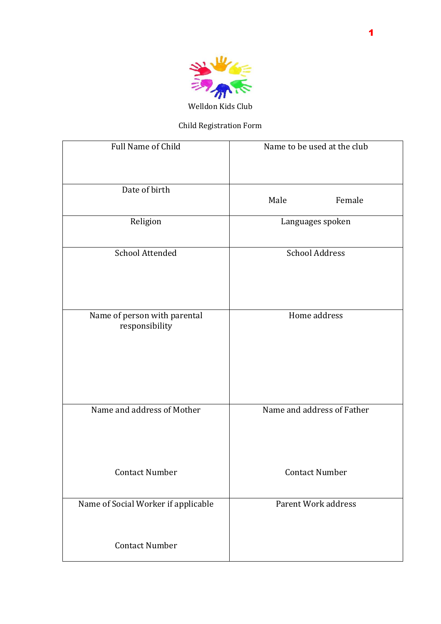

## Child Registration Form

| Full Name of Child                             | Name to be used at the club |
|------------------------------------------------|-----------------------------|
| Date of birth                                  | Male<br>Female              |
| Religion                                       | Languages spoken            |
| School Attended                                | <b>School Address</b>       |
| Name of person with parental<br>responsibility | Home address                |
| Name and address of Mother                     | Name and address of Father  |
| <b>Contact Number</b>                          | <b>Contact Number</b>       |
| Name of Social Worker if applicable            | Parent Work address         |
| <b>Contact Number</b>                          |                             |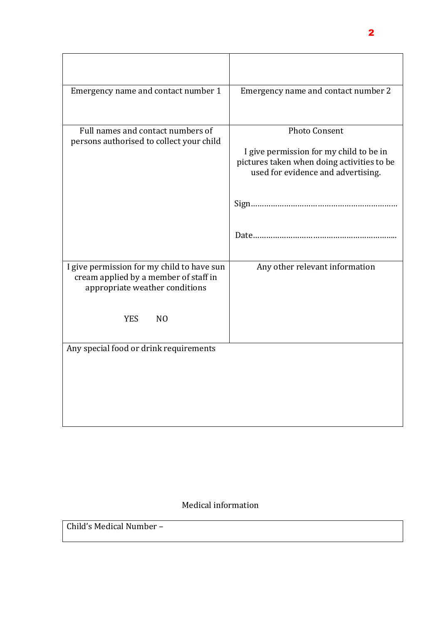| Emergency name and contact number 1                                                                                                                   | Emergency name and contact number 2                                                                                                                 |
|-------------------------------------------------------------------------------------------------------------------------------------------------------|-----------------------------------------------------------------------------------------------------------------------------------------------------|
| Full names and contact numbers of<br>persons authorised to collect your child                                                                         | <b>Photo Consent</b><br>I give permission for my child to be in<br>pictures taken when doing activities to be<br>used for evidence and advertising. |
| I give permission for my child to have sun<br>cream applied by a member of staff in<br>appropriate weather conditions<br><b>YES</b><br>N <sub>O</sub> | Any other relevant information                                                                                                                      |
| Any special food or drink requirements                                                                                                                |                                                                                                                                                     |

## Medical information

Child's Medical Number –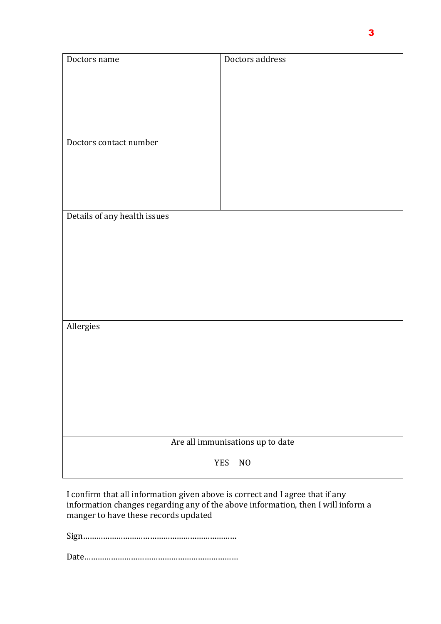| Doctors name                     | Doctors address |
|----------------------------------|-----------------|
|                                  |                 |
|                                  |                 |
|                                  |                 |
|                                  |                 |
|                                  |                 |
|                                  |                 |
|                                  |                 |
| Doctors contact number           |                 |
|                                  |                 |
|                                  |                 |
|                                  |                 |
|                                  |                 |
|                                  |                 |
|                                  |                 |
| Details of any health issues     |                 |
|                                  |                 |
|                                  |                 |
|                                  |                 |
|                                  |                 |
|                                  |                 |
|                                  |                 |
|                                  |                 |
|                                  |                 |
|                                  |                 |
|                                  |                 |
| Allergies                        |                 |
|                                  |                 |
|                                  |                 |
|                                  |                 |
|                                  |                 |
|                                  |                 |
|                                  |                 |
|                                  |                 |
|                                  |                 |
|                                  |                 |
|                                  |                 |
| Are all immunisations up to date |                 |
|                                  |                 |
| <b>YES</b><br>$NO$               |                 |
|                                  |                 |

I confirm that all information given above is correct and I agree that if any information changes regarding any of the above information, then I will inform a manger to have these records updated

Sign……………………………………………………………

Date……………………………………………………………